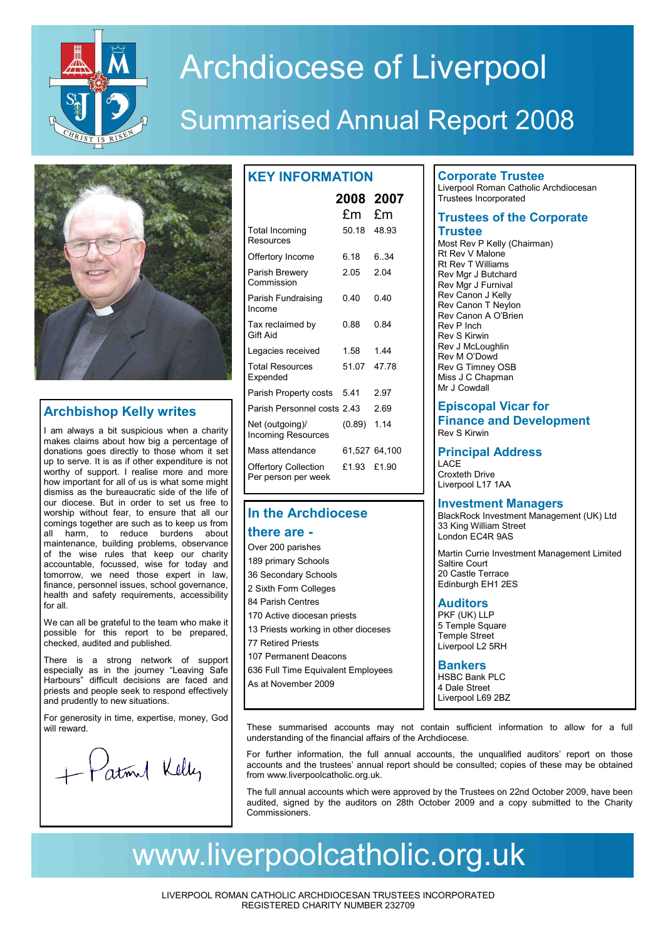

# Archdiocese of Liverpool

## Summarised Annual Report 2008



## **Archbishop Kelly writes**

I am always a bit suspicious when a charity makes claims about how big a percentage of donations goes directly to those whom it set up to serve. It is as if other expenditure is not worthy of support. I realise more and more how important for all of us is what some might dismiss as the bureaucratic side of the life of our diocese. But in order to set us free to worship without fear, to ensure that all our comings together are such as to keep us from all harm, to reduce burdens about maintenance, building problems, observance of the wise rules that keep our charity accountable, focussed, wise for today and tomorrow, we need those expert in law, finance, personnel issues, school governance, health and safety requirements, accessibility for all.

We can all be grateful to the team who make it possible for this report to be prepared, checked, audited and published.

There is a strong network of support especially as in the journey "Leaving Safe Harbours" difficult decisions are faced and priests and people seek to respond effectively and prudently to new situations.

For generosity in time, expertise, money, God will reward.

+ Patril Kelly

|                                                    | 2008 2007<br>£m | £m            |
|----------------------------------------------------|-----------------|---------------|
| Total Incoming<br>Resources                        | 50.18           | 48.93         |
| Offertory Income                                   | 6.18            | 6.34          |
| Parish Brewery<br>Commission                       | 2.05            | 2 04          |
| Parish Fundraising<br>Income                       | 0 40            | 0 40          |
| Tax reclaimed by<br>Gift Aid                       | 0.88            | 0.84          |
| Legacies received                                  | 1.58            | 144           |
| <b>Total Resources</b><br>Expended                 | 51.07           | 47.78         |
| Parish Property costs                              | 541             | 2.97          |
| Parish Personnel costs 2.43                        |                 | 2.69          |
| Net (outgoing)/<br><b>Incoming Resources</b>       | (0.89)          | 1.14          |
| Mass attendance                                    |                 | 61,527 64,100 |
| <b>Offertory Collection</b><br>Per person per week | £1.93           | £1.90         |

## **In the Archdiocese**

## **there are -**

Over 200 parishes 189 primary Schools 36 Secondary Schools 2 Sixth Form Colleges 84 Parish Centres 170 Active diocesan priests 13 Priests working in other dioceses 77 Retired Priests 107 Permanent Deacons 636 Full Time Equivalent Employees As at November 2009

## **Corporate Trustee**

Liverpool Roman Catholic Archdiocesan Trustees Incorporated

## **Trustees of the Corporate Trustee**

Most Rev P Kelly (Chairman) Rt Rev V Malone Rt Rev T Williams Rev Mgr J Butchard Rev Mgr J Furnival Rev Canon J Kelly Rev Canon T Neylon Rev Canon A O'Brien Rev P Inch Rev S Kirwin Rev J McLoughlin Rev M O'Dowd Rev G Timney OSB Miss J C Chapman Mr J Cowdall

## **Episcopal Vicar for Finance and Development** Rev S Kirwin

## **Principal Address**

LACE Croxteth Drive Liverpool L17 1AA

## **Investment Managers**

BlackRock Investment Management (UK) Ltd 33 King William Street London EC4R 9AS

Martin Currie Investment Management Limited Saltire Court 20 Castle Terrace Edinburgh EH1 2ES

## **Auditors**

PKF (UK) LLP 5 Temple Square Temple Street Liverpool L2 5RH

#### **Bankers** HSBC Bank PLC 4 Dale Street

Liverpool L69 2BZ

These summarised accounts may not contain sufficient information to allow for a full understanding of the financial affairs of the Archdiocese.

For further information, the full annual accounts, the unqualified auditors' report on those accounts and the trustees' annual report should be consulted; copies of these may be obtained from www.liverpoolcatholic.org.uk.

The full annual accounts which were approved by the Trustees on 22nd October 2009, have been audited, signed by the auditors on 28th October 2009 and a copy submitted to the Charity Commissioners.

## www.liverpoolcatholic.org.uk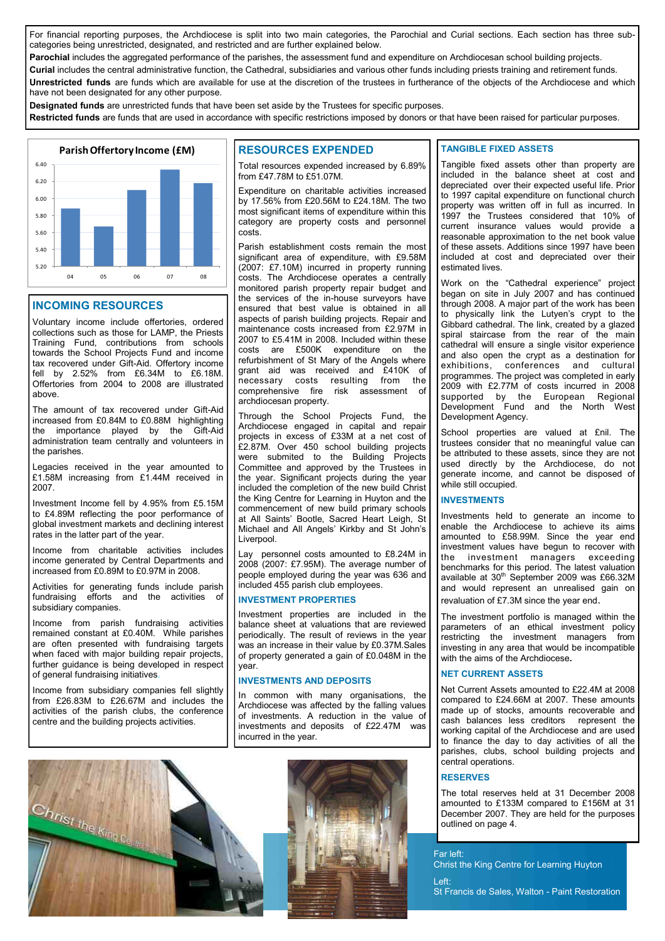For financial reporting purposes, the Archdiocese is split into two main categories, the Parochial and Curial sections. Each section has three subcategories being unrestricted, designated, and restricted and are further explained below.

**Parochial** includes the aggregated performance of the parishes, the assessment fund and expenditure on Archdiocesan school building projects.

**Curial** includes the central administrative function, the Cathedral, subsidiaries and various other funds including priests training and retirement funds. **Unrestricted funds** are funds which are available for use at the discretion of the trustees in furtherance of the objects of the Archdiocese and which have not been designated for any other purpose.

**Designated funds** are unrestricted funds that have been set aside by the Trustees for specific purposes.

**Restricted funds** are funds that are used in accordance with specific restrictions imposed by donors or that have been raised for particular purposes.



#### **INCOMING RESOURCES**

Voluntary income include offertories, ordered collections such as those for LAMP, the Priests Training Fund, contributions from schools towards the School Projects Fund and income tax recovered under Gift-Aid. Offertory income fell by 2.52% from £6.34M to £6.18M. Offertories from 2004 to 2008 are illustrated above.

The amount of tax recovered under Gift-Aid increased from £0.84M to £0.88M highlighting the importance played by the Gift-Aid administration team centrally and volunteers in the parishes.

Legacies received in the year amounted to £1.58M increasing from £1.44M received in 2007.

Investment Income fell by 4.95% from £5.15M to £4.89M reflecting the poor performance of global investment markets and declining interest rates in the latter part of the year.

Income from charitable activities includes income generated by Central Departments and increased from £0.89M to £0.97M in 2008.

Activities for generating funds include parish fundraising efforts and the activities of subsidiary companies.

Income from parish fundraising activities remained constant at £0.40M. While parishes are often presented with fundraising targets when faced with major building repair projects, further guidance is being developed in respect of general fundraising initiatives.

Income from subsidiary companies fell slightly from £26.83M to £26.67M and includes the activities of the parish clubs, the conference centre and the building projects activities.

## **RESOURCES EXPENDED**

Total resources expended increased by 6.89% from £47.78M to £51.07M.

Expenditure on charitable activities increased by 17.56% from £20.56M to £24.18M. The two most significant items of expenditure within this category are property costs and personnel costs.

Parish establishment costs remain the most significant area of expenditure, with £9.58M (2007: £7.10M) incurred in property running costs. The Archdiocese operates a centrally monitored parish property repair budget and the services of the in-house surveyors have ensured that best value is obtained in all aspects of parish building projects. Repair and maintenance costs increased from £2.97M in 2007 to £5.41M in 2008. Included within these costs are £500K expenditure on the refurbishment of St Mary of the Angels where grant aid was received and £410K of necessary costs resulting from the comprehensive fire risk assessment of archdiocesan property.

Through the School Projects Fund, the Archdiocese engaged in capital and repair projects in excess of £33M at a net cost of £2.87M. Over 450 school building projects were submited to the Building Projects Committee and approved by the Trustees in the year. Significant projects during the year included the completion of the new build Christ the King Centre for Learning in Huyton and the commencement of new build primary schools at All Saints' Bootle, Sacred Heart Leigh, St Michael and All Angels' Kirkby and St John's Liverpool.

Lay personnel costs amounted to £8.24M in 2008 (2007: £7.95M). The average number of people employed during the year was 636 and included 455 parish club employees.

#### **INVESTMENT PROPERTIES**

Investment properties are included in the balance sheet at valuations that are reviewed periodically. The result of reviews in the year was an increase in their value by £0.37M.Sales of property generated a gain of £0.048M in the year.

#### **INVESTMENTS AND DEPOSITS**

In common with many organisations, the Archdiocese was affected by the falling values of investments. A reduction in the value of investments and deposits of £22.47M was incurred in the year.



#### **TANGIBLE FIXED ASSETS**

Tangible fixed assets other than property are included in the balance sheet at cost and depreciated over their expected useful life. Prior to 1997 capital expenditure on functional church property was written off in full as incurred. In 1997 the Trustees considered that 10% of current insurance values would provide a reasonable approximation to the net book value of these assets. Additions since 1997 have been included at cost and depreciated over their estimated lives.

Work on the "Cathedral experience" project began on site in July 2007 and has continued through 2008. A major part of the work has been to physically link the Lutyen's crypt to the Gibbard cathedral. The link, created by a glazed spiral staircase from the rear of the main cathedral will ensure a single visitor experience and also open the crypt as a destination for exhibitions, conferences and cultural programmes. The project was completed in early 2009 with £2.77M of costs incurred in 2008 supported by the European Regional Development Fund and the North West Development Agency.

School properties are valued at £nil. The trustees consider that no meaningful value can be attributed to these assets, since they are not used directly by the Archdiocese, do not generate income, and cannot be disposed of while still occupied.

## **INVESTMENTS**

Investments held to generate an income to enable the Archdiocese to achieve its aims amounted to £58.99M. Since the year end investment values have begun to recover with the investment managers exceeding benchmarks for this period. The latest valuation available at 30<sup>th</sup> September 2009 was £66.32M and would represent an unrealised gain on revaluation of £7.3M since the year end.

The investment portfolio is managed within the parameters of an ethical investment policy restricting the investment managers from investing in any area that would be incompatible with the aims of the Archdiocese**.**

#### **NET CURRENT ASSETS**

Net Current Assets amounted to £22.4M at 2008 compared to £24.66M at 2007. These amounts made up of stocks, amounts recoverable and cash balances less creditors represent the working capital of the Archdiocese and are used to finance the day to day activities of all the parishes, clubs, school building projects and central operations.

#### **RESERVES**

Left:

The total reserves held at 31 December 2008 amounted to £133M compared to £156M at 31 December 2007. They are held for the purposes outlined on page 4.

Far left: Christ the King Centre for Learning Huyton

St Francis de Sales, Walton - Paint Restoration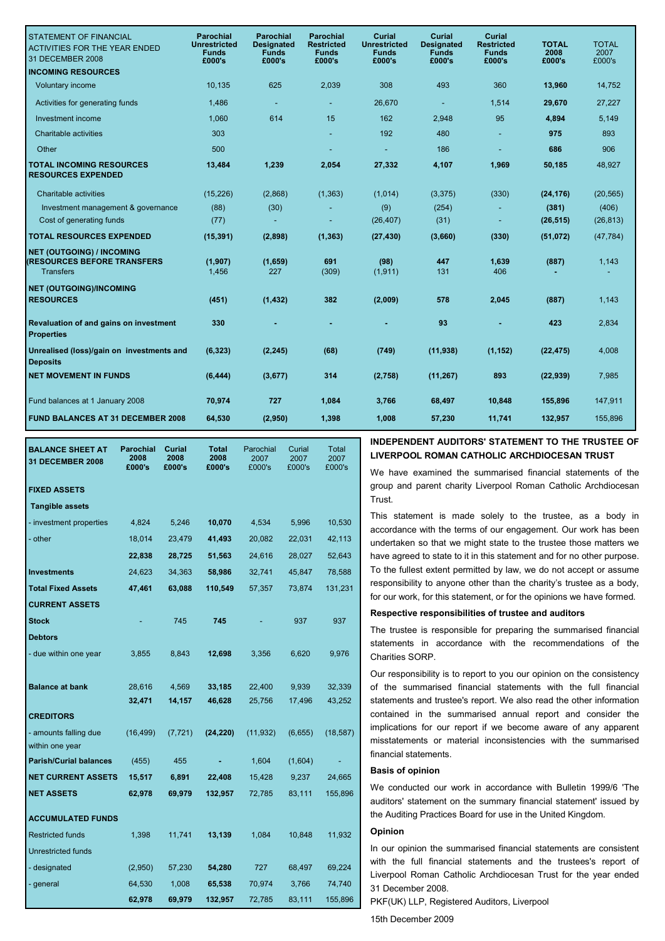| <b>STATEMENT OF FINANCIAL</b><br><b>ACTIVITIES FOR THE YEAR ENDED</b><br>31 DECEMBER 2008<br><b>INCOMING RESOURCES</b> | <b>Parochial</b><br><b>Unrestricted</b><br><b>Funds</b><br>£000's | <b>Parochial</b><br>Designated<br><b>Funds</b><br>£000's | <b>Parochial</b><br><b>Restricted</b><br><b>Funds</b><br>£000's | Curial<br><b>Unrestricted</b><br><b>Funds</b><br>£000's | Curial<br><b>Designated</b><br><b>Funds</b><br>£000's | <b>Curial</b><br>Restricted<br><b>Funds</b><br>£000's | <b>TOTAL</b><br>2008<br>£000's | <b>TOTAL</b><br>2007<br>£000's |
|------------------------------------------------------------------------------------------------------------------------|-------------------------------------------------------------------|----------------------------------------------------------|-----------------------------------------------------------------|---------------------------------------------------------|-------------------------------------------------------|-------------------------------------------------------|--------------------------------|--------------------------------|
| Voluntary income                                                                                                       | 10,135                                                            | 625                                                      | 2,039                                                           | 308                                                     | 493                                                   | 360                                                   | 13,960                         | 14,752                         |
|                                                                                                                        |                                                                   |                                                          |                                                                 |                                                         |                                                       |                                                       |                                |                                |
| Activities for generating funds                                                                                        | 1,486                                                             | ٠                                                        |                                                                 | 26,670                                                  | $\blacksquare$                                        | 1,514                                                 | 29,670                         | 27,227                         |
| Investment income                                                                                                      | 1.060                                                             | 614                                                      | 15                                                              | 162                                                     | 2,948                                                 | 95                                                    | 4,894                          | 5,149                          |
| Charitable activities                                                                                                  | 303                                                               |                                                          |                                                                 | 192                                                     | 480                                                   |                                                       | 975                            | 893                            |
| Other                                                                                                                  | 500                                                               |                                                          |                                                                 |                                                         | 186                                                   |                                                       | 686                            | 906                            |
| <b>TOTAL INCOMING RESOURCES</b><br><b>RESOURCES EXPENDED</b>                                                           | 13,484                                                            | 1,239                                                    | 2,054                                                           | 27,332                                                  | 4,107                                                 | 1,969                                                 | 50,185                         | 48,927                         |
| Charitable activities                                                                                                  | (15, 226)                                                         | (2,868)                                                  | (1, 363)                                                        | (1,014)                                                 | (3, 375)                                              | (330)                                                 | (24, 176)                      | (20, 565)                      |
| Investment management & governance                                                                                     | (88)                                                              | (30)                                                     |                                                                 | (9)                                                     | (254)                                                 |                                                       | (381)                          | (406)                          |
| Cost of generating funds                                                                                               | (77)                                                              |                                                          |                                                                 | (26, 407)                                               | (31)                                                  |                                                       | (26, 515)                      | (26, 813)                      |
| <b>TOTAL RESOURCES EXPENDED</b>                                                                                        | (15, 391)                                                         | (2,898)                                                  | (1, 363)                                                        | (27, 430)                                               | (3,660)                                               | (330)                                                 | (51, 072)                      | (47, 784)                      |
| <b>NET (OUTGOING) / INCOMING</b><br><b>(RESOURCES BEFORE TRANSFERS</b><br><b>Transfers</b>                             | (1, 907)<br>1,456                                                 | (1,659)<br>227                                           | 691<br>(309)                                                    | (98)<br>(1, 911)                                        | 447<br>131                                            | 1,639<br>406                                          | (887)                          | 1,143                          |
| <b>NET (OUTGOING)/INCOMING</b>                                                                                         |                                                                   |                                                          |                                                                 |                                                         |                                                       |                                                       |                                |                                |
| <b>RESOURCES</b>                                                                                                       | (451)                                                             | (1, 432)                                                 | 382                                                             | (2,009)                                                 | 578                                                   | 2,045                                                 | (887)                          | 1,143                          |
| Revaluation of and gains on investment<br><b>Properties</b>                                                            | 330                                                               |                                                          |                                                                 |                                                         | 93                                                    |                                                       | 423                            | 2.834                          |
| Unrealised (loss)/gain on investments and<br><b>Deposits</b>                                                           | (6, 323)                                                          | (2, 245)                                                 | (68)                                                            | (749)                                                   | (11, 938)                                             | (1, 152)                                              | (22, 475)                      | 4,008                          |
| <b>NET MOVEMENT IN FUNDS</b>                                                                                           | (6, 444)                                                          | (3,677)                                                  | 314                                                             | (2,758)                                                 | (11, 267)                                             | 893                                                   | (22, 939)                      | 7,985                          |
| Fund balances at 1 January 2008                                                                                        | 70,974                                                            | 727                                                      | 1,084                                                           | 3,766                                                   | 68,497                                                | 10,848                                                | 155,896                        | 147,911                        |
| <b>FUND BALANCES AT 31 DECEMBER 2008</b>                                                                               | 64,530                                                            | (2,950)                                                  | 1,398                                                           | 1,008                                                   | 57,230                                                | 11,741                                                | 132,957                        | 155,896                        |
|                                                                                                                        |                                                                   |                                                          |                                                                 |                                                         |                                                       |                                                       |                                |                                |

|              | <b>BALANCE SHEET AT</b><br>31 DECEMBER 2008      | <b>Parochial</b><br>2008<br>£000's | Curial<br>2008<br>£000's | <b>Total</b><br>2008<br>£000's | Parochial<br>2007<br>£000's | Curial<br>2007<br>£000's | Total<br>2007<br>£000's |
|--------------|--------------------------------------------------|------------------------------------|--------------------------|--------------------------------|-----------------------------|--------------------------|-------------------------|
|              | <b>FIXED ASSETS</b>                              |                                    |                          |                                |                             |                          |                         |
|              | <b>Tangible assets</b>                           |                                    |                          |                                |                             |                          |                         |
|              | - investment properties                          | 4,824                              | 5,246                    | 10,070                         | 4,534                       | 5,996                    | 10,530                  |
|              | - other                                          | 18,014                             | 23,479                   | 41,493                         | 20,082                      | 22,031                   | 42,113                  |
|              |                                                  | 22,838                             | 28,725                   | 51,563                         | 24,616                      | 28,027                   | 52,643                  |
|              | <b>Investments</b>                               | 24,623                             | 34,363                   | 58,986                         | 32,741                      | 45,847                   | 78,588                  |
|              | <b>Total Fixed Assets</b>                        | 47,461                             | 63,088                   | 110,549                        | 57,357                      | 73,874                   | 131,231                 |
|              | <b>CURRENT ASSETS</b>                            |                                    |                          |                                |                             |                          |                         |
| <b>Stock</b> |                                                  |                                    | 745                      | 745                            |                             | 937                      | 937                     |
|              | <b>Debtors</b>                                   |                                    |                          |                                |                             |                          |                         |
|              | - due within one year                            | 3,855                              | 8,843                    | 12,698                         | 3,356                       | 6,620                    | 9,976                   |
|              |                                                  |                                    |                          |                                |                             |                          |                         |
|              | <b>Balance at bank</b>                           | 28,616                             | 4,569                    | 33,185                         | 22,400                      | 9,939                    | 32,339                  |
|              |                                                  | 32,471                             | 14,157                   | 46,628                         | 25,756                      | 17,496                   | 43,252                  |
|              | <b>CREDITORS</b>                                 |                                    |                          |                                |                             |                          |                         |
|              | - amounts falling due                            | (16, 499)                          | (7, 721)                 | (24, 220)                      | (11, 932)                   | (6,655)                  | (18, 587)               |
|              | within one year<br><b>Parish/Curial balances</b> | (455)                              | 455                      |                                | 1,604                       | (1,604)                  |                         |
|              | <b>NET CURRENT ASSETS</b>                        | 15,517                             | 6,891                    | 22,408                         | 15,428                      | 9,237                    | 24,665                  |
|              | <b>NET ASSETS</b>                                | 62,978                             | 69,979                   | 132,957                        | 72,785                      | 83,111                   | 155,896                 |
|              |                                                  |                                    |                          |                                |                             |                          |                         |
|              | <b>ACCUMULATED FUNDS</b>                         |                                    |                          |                                |                             |                          |                         |
|              | <b>Restricted funds</b>                          | 1,398                              | 11,741                   | 13,139                         | 1,084                       | 10,848                   | 11,932                  |
|              | <b>Unrestricted funds</b>                        |                                    |                          |                                |                             |                          |                         |
|              | - designated                                     | (2,950)                            | 57,230                   | 54,280                         | 727                         | 68,497                   | 69,224                  |
|              | - general                                        | 64,530                             | 1,008                    | 65,538                         | 70,974                      | 3,766                    | 74,740                  |
|              |                                                  | 62,978                             | 69,979                   | 132,957                        | 72,785                      | 83,111                   | 155,896                 |

#### **INDEPENDENT AUDITORS' STATEMENT TO THE TRUSTEE OF LIVERPOOL ROMAN CATHOLIC ARCHDIOCESAN TRUST**

We have examined the summarised financial statements of the group and parent charity Liverpool Roman Catholic Archdiocesan Trust.

This statement is made solely to the trustee, as a body in accordance with the terms of our engagement. Our work has been undertaken so that we might state to the trustee those matters we have agreed to state to it in this statement and for no other purpose. To the fullest extent permitted by law, we do not accept or assume responsibility to anyone other than the charity's trustee as a body, for our work, for this statement, or for the opinions we have formed.

#### **Respective responsibilities of trustee and auditors**

The trustee is responsible for preparing the summarised financial statements in accordance with the recommendations of the Charities SORP.

Our responsibility is to report to you our opinion on the consistency of the summarised financial statements with the full financial statements and trustee's report. We also read the other information contained in the summarised annual report and consider the implications for our report if we become aware of any apparent misstatements or material inconsistencies with the summarised financial statements.

#### **Basis of opinion**

We conducted our work in accordance with Bulletin 1999/6 'The auditors' statement on the summary financial statement' issued by the Auditing Practices Board for use in the United Kingdom.

### **Opinion**

In our opinion the summarised financial statements are consistent with the full financial statements and the trustees's report of Liverpool Roman Catholic Archdiocesan Trust for the year ended 31 December 2008.

PKF(UK) LLP, Registered Auditors, Liverpool